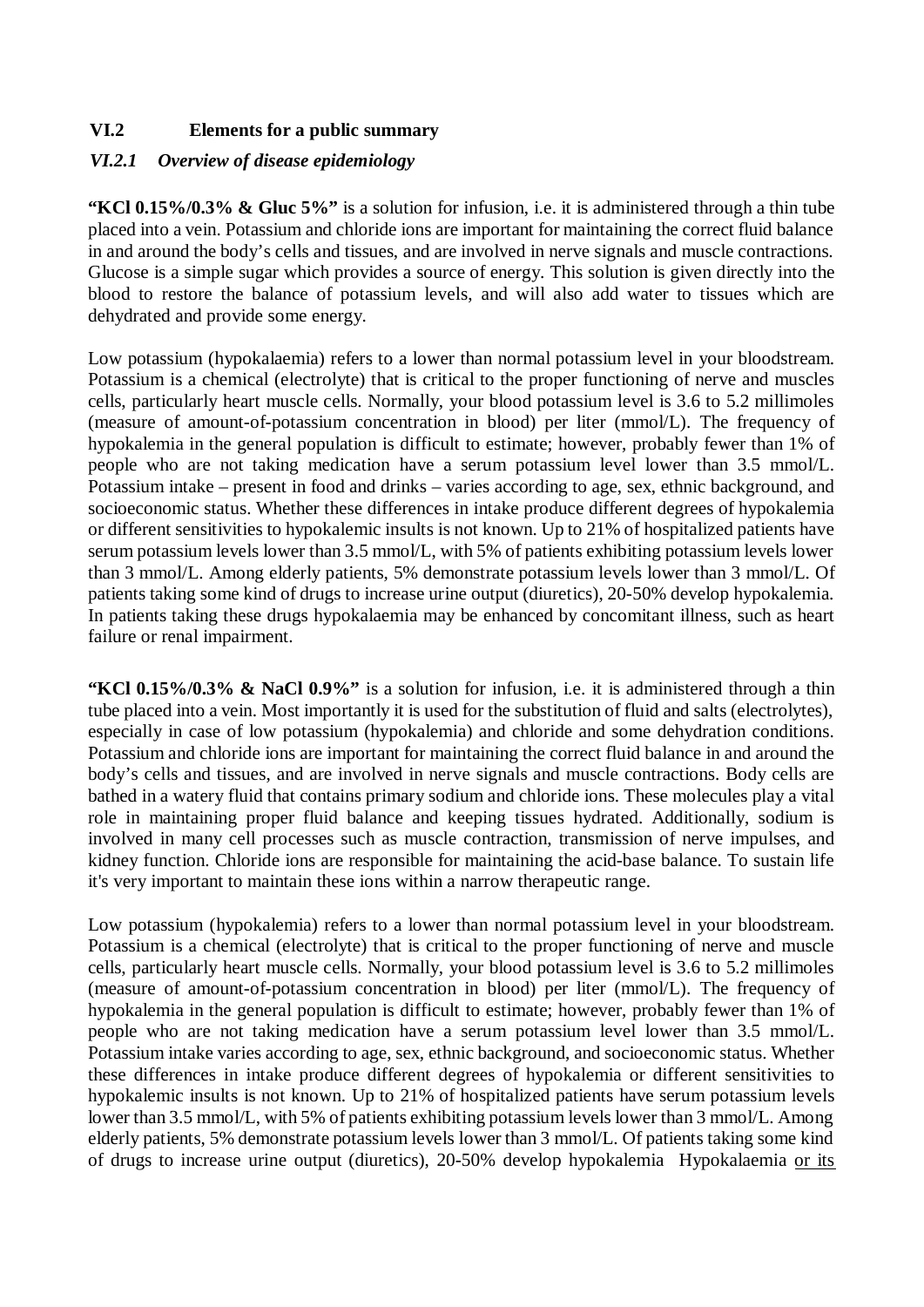## **VI.2 Elements for a public summary**

#### *VI.2.1 Overview of disease epidemiology*

**"KCl 0.15%/0.3% & Gluc 5%"** is a solution for infusion, i.e. it is administered through a thin tube placed into a vein. Potassium and chloride ions are important for maintaining the correct fluid balance in and around the body's cells and tissues, and are involved in nerve signals and muscle contractions. Glucose is a simple sugar which provides a source of energy. This solution is given directly into the blood to restore the balance of potassium levels, and will also add water to tissues which are dehydrated and provide some energy.

Low potassium (hypokalaemia) refers to a lower than normal potassium level in your bloodstream. Potassium is a chemical (electrolyte) that is critical to the proper functioning of nerve and muscles cells, particularly heart muscle cells. Normally, your blood potassium level is 3.6 to 5.2 millimoles (measure of amount-of-potassium concentration in blood) per liter (mmol/L). The frequency of hypokalemia in the general population is difficult to estimate; however, probably fewer than 1% of people who are not taking medication have a serum potassium level lower than 3.5 mmol/L. Potassium intake – present in food and drinks – varies according to age, sex, ethnic background, and socioeconomic status. Whether these differences in intake produce different degrees of hypokalemia or different sensitivities to hypokalemic insults is not known. Up to 21% of hospitalized patients have serum potassium levels lower than 3.5 mmol/L, with 5% of patients exhibiting potassium levels lower than 3 mmol/L. Among elderly patients, 5% demonstrate potassium levels lower than 3 mmol/L. Of patients taking some kind of drugs to increase urine output (diuretics), 20-50% develop hypokalemia. In patients taking these drugs hypokalaemia may be enhanced by concomitant illness, such as heart failure or renal impairment.

Low potassium (hypokalemia) refers to a lower than normal potassium level in your bloodstream. Potassium is a chemical (electrolyte) that is critical to the proper functioning of nerve and muscle cells, particularly heart muscle cells. Normally, your blood potassium level is 3.6 to 5.2 millimoles (measure of amount-of-potassium concentration in blood) per liter (mmol/L). The frequency of hypokalemia in the general population is difficult to estimate; however, probably fewer than 1% of people who are not taking medication have a serum potassium level lower than 3.5 mmol/L. Potassium intake varies according to age, sex, ethnic background, and socioeconomic status. Whether these differences in intake produce different degrees of hypokalemia or different sensitivities to hypokalemic insults is not known. Up to 21% of hospitalized patients have serum potassium levels lower than 3.5 mmol/L, with 5% of patients exhibiting potassium levels lower than 3 mmol/L. Among elderly patients, 5% demonstrate potassium levels lower than 3 mmol/L. Of patients taking some kind of drugs to increase urine output (diuretics), 20-50% develop hypokalemia Hypokalaemia or its

**"KCl 0.15%/0.3% & NaCl 0.9%"** is a solution for infusion, i.e. it is administered through a thin tube placed into a vein. Most importantly it is used for the substitution of fluid and salts (electrolytes), especially in case of low potassium (hypokalemia) and chloride and some dehydration conditions. Potassium and chloride ions are important for maintaining the correct fluid balance in and around the body's cells and tissues, and are involved in nerve signals and muscle contractions. Body cells are bathed in a watery fluid that contains primary sodium and chloride ions. These molecules play a vital role in maintaining proper fluid balance and keeping tissues hydrated. Additionally, sodium is involved in many cell processes such as muscle contraction, transmission of nerve impulses, and kidney function. Chloride ions are responsible for maintaining the acid-base balance. To sustain life it's very important to maintain these ions within a narrow therapeutic range.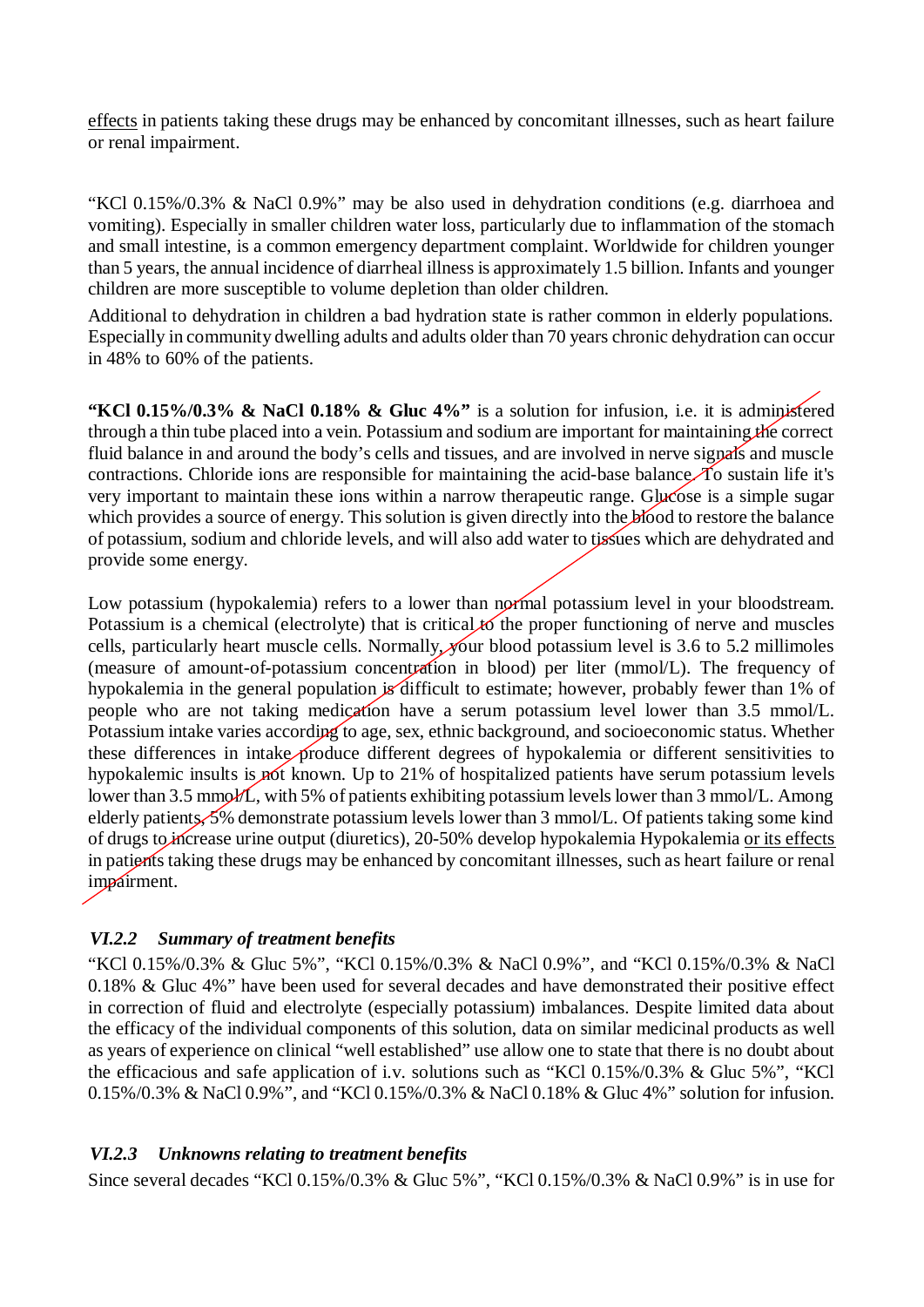effects in patients taking these drugs may be enhanced by concomitant illnesses, such as heart failure or renal impairment.

"KCl 0.15%/0.3% & NaCl 0.9%" may be also used in dehydration conditions (e.g. diarrhoea and vomiting). Especially in smaller children water loss, particularly due to inflammation of the stomach and small intestine, is a common emergency department complaint. Worldwide for children younger than 5 years, the annual incidence of diarrheal illness is approximately 1.5 billion. Infants and younger children are more susceptible to volume depletion than older children.

Additional to dehydration in children a bad hydration state is rather common in elderly populations. Especially in community dwelling adults and adults older than 70 years chronic dehydration can occur in 48% to 60% of the patients.

**"KCl 0.15%/0.3% & NaCl 0.18% & Gluc 4%"** is a solution for infusion, i.e. it is administered through a thin tube placed into a vein. Potassium and sodium are important for maintaining the correct fluid balance in and around the body's cells and tissues, and are involved in nerve signals and muscle contractions. Chloride ions are responsible for maintaining the acid-base balance. To sustain life it's very important to maintain these ions within a narrow therapeutic range. Glucose is a simple sugar which provides a source of energy. This solution is given directly into the blood to restore the balance of potassium, sodium and chloride levels, and will also add water to tissues which are dehydrated and provide some energy.

Low potassium (hypokalemia) refers to a lower than normal potassium level in your bloodstream. Potassium is a chemical (electrolyte) that is critical to the proper functioning of nerve and muscles cells, particularly heart muscle cells. Normally, your blood potassium level is 3.6 to 5.2 millimoles (measure of amount-of-potassium concentration in blood) per liter (mmol/L). The frequency of hypokalemia in the general population is difficult to estimate; however, probably fewer than 1% of people who are not taking medication have a serum potassium level lower than 3.5 mmol/L. Potassium intake varies according to age, sex, ethnic background, and socioeconomic status. Whether these differences in intake produce different degrees of hypokalemia or different sensitivities to hypokalemic insults is not known. Up to 21% of hospitalized patients have serum potassium levels lower than 3.5 mmol/L, with 5% of patients exhibiting potassium levels lower than 3 mmol/L. Among elderly patients, 5% demonstrate potassium levels lower than 3 mmol/L. Of patients taking some kind of drugs to increase urine output (diuretics), 20-50% develop hypokalemia Hypokalemia or its effects in patients taking these drugs may be enhanced by concomitant illnesses, such as heart failure or renal impairment.

#### *VI.2.2 Summary of treatment benefits*

"KCl 0.15%/0.3% & Gluc 5%", "KCl 0.15%/0.3% & NaCl 0.9%", and "KCl 0.15%/0.3% & NaCl 0.18% & Gluc 4%" have been used for several decades and have demonstrated their positive effect in correction of fluid and electrolyte (especially potassium) imbalances. Despite limited data about the efficacy of the individual components of this solution, data on similar medicinal products as well as years of experience on clinical "well established" use allow one to state that there is no doubt about the efficacious and safe application of i.v. solutions such as "KCl 0.15%/0.3% & Gluc 5%", "KCl 0.15%/0.3% & NaCl 0.9%", and "KCl 0.15%/0.3% & NaCl 0.18% & Gluc 4%" solution for infusion.

#### *VI.2.3 Unknowns relating to treatment benefits*

Since several decades "KCl 0.15%/0.3% & Gluc 5%", "KCl 0.15%/0.3% & NaCl 0.9%" is in use for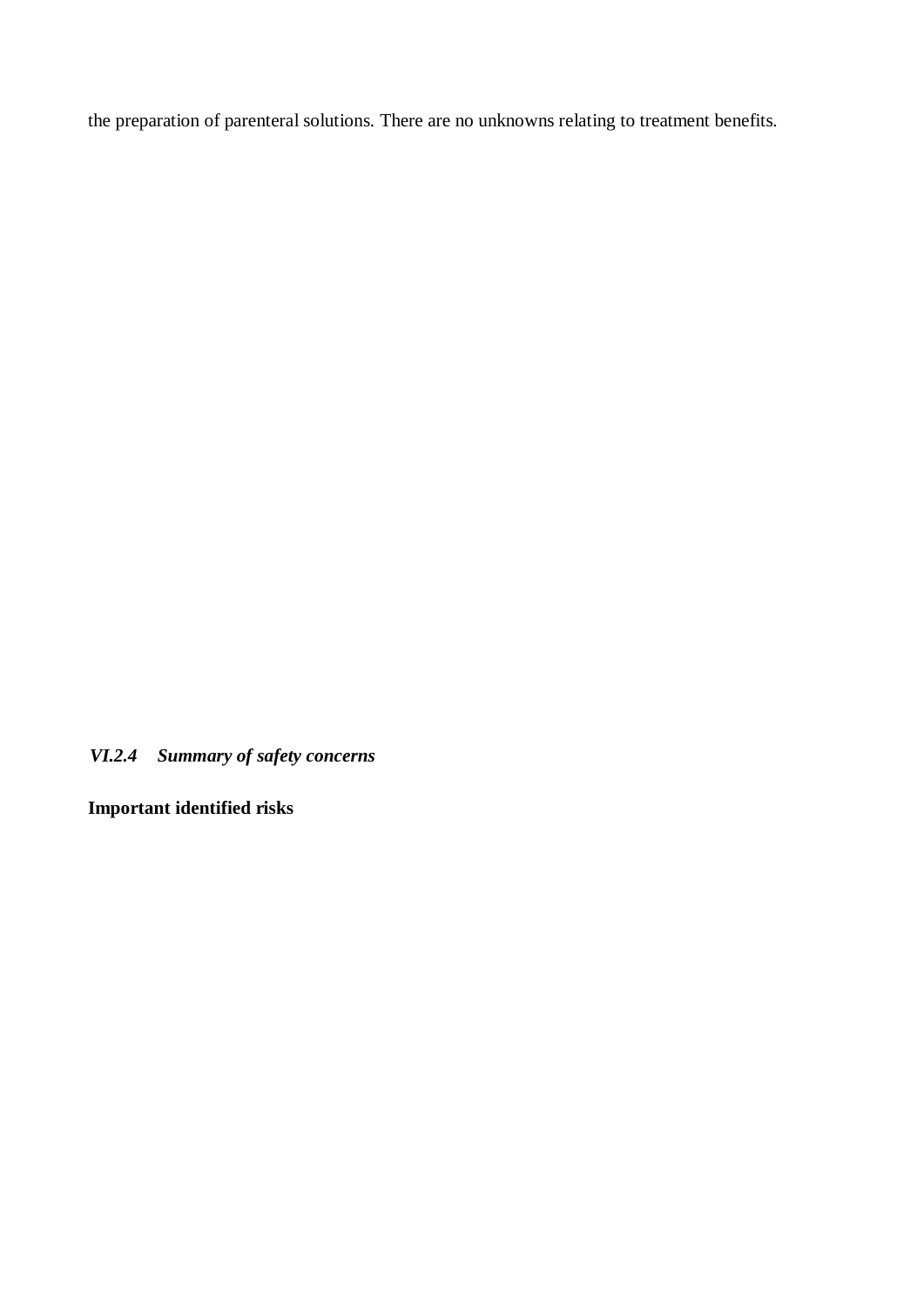the preparation of parenteral solutions. There are no unknowns relating to treatment benefits.

*VI.2.4 Summary of safety concerns*

**Important identified risks**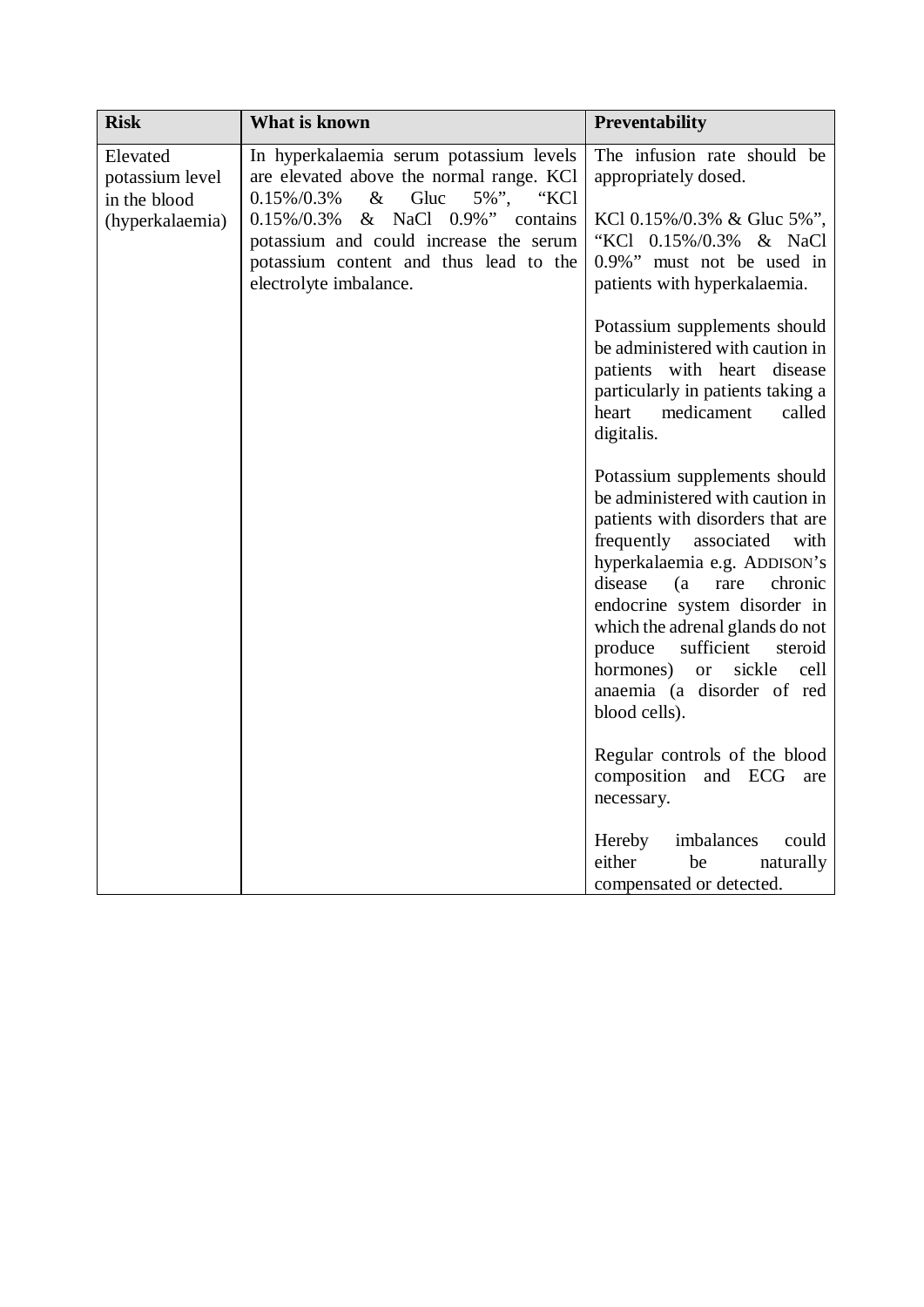| <b>Risk</b>                                                    | What is known                                                                                                                                                                                                                                           | <b>Preventability</b>                                                                                                                                                                                                                                                                                                                                                                |
|----------------------------------------------------------------|---------------------------------------------------------------------------------------------------------------------------------------------------------------------------------------------------------------------------------------------------------|--------------------------------------------------------------------------------------------------------------------------------------------------------------------------------------------------------------------------------------------------------------------------------------------------------------------------------------------------------------------------------------|
| Elevated<br>potassium level<br>in the blood<br>(hyperkalaemia) | In hyperkalaemia serum potassium levels<br>are elevated above the normal range. KCl<br>$0.15\%/0.3\%$ & Gluc 5\%", "KCl<br>$0.15\%/0.3\%$ & NaCl $0.9\%$ " contains<br>potassium and could increase the serum<br>potassium content and thus lead to the | The infusion rate should be<br>appropriately dosed.<br>KCl $0.15\%/0.3\%$ & Gluc 5\%",<br>"KCl 0.15%/0.3% & NaCl<br>0.9%" must not be used in                                                                                                                                                                                                                                        |
|                                                                | electrolyte imbalance.                                                                                                                                                                                                                                  | patients with hyperkalaemia.<br>Potassium supplements should<br>be administered with caution in<br>patients with heart disease<br>particularly in patients taking a<br>heart medicament<br>called<br>digitalis.                                                                                                                                                                      |
|                                                                |                                                                                                                                                                                                                                                         | Potassium supplements should<br>be administered with caution in<br>patients with disorders that are<br>frequently associated<br>with<br>hyperkalaemia e.g. ADDISON's<br>disease<br>(a rare<br>chronic<br>endocrine system disorder in<br>which the adrenal glands do not<br>produce sufficient steroid<br>hormones) or sickle<br>cell<br>anaemia (a disorder of red<br>blood cells). |
|                                                                |                                                                                                                                                                                                                                                         | Regular controls of the blood<br>composition and ECG<br>are<br>necessary.                                                                                                                                                                                                                                                                                                            |
|                                                                |                                                                                                                                                                                                                                                         | Hereby<br>imbalances<br>could<br>either<br>be<br>naturally<br>compensated or detected.                                                                                                                                                                                                                                                                                               |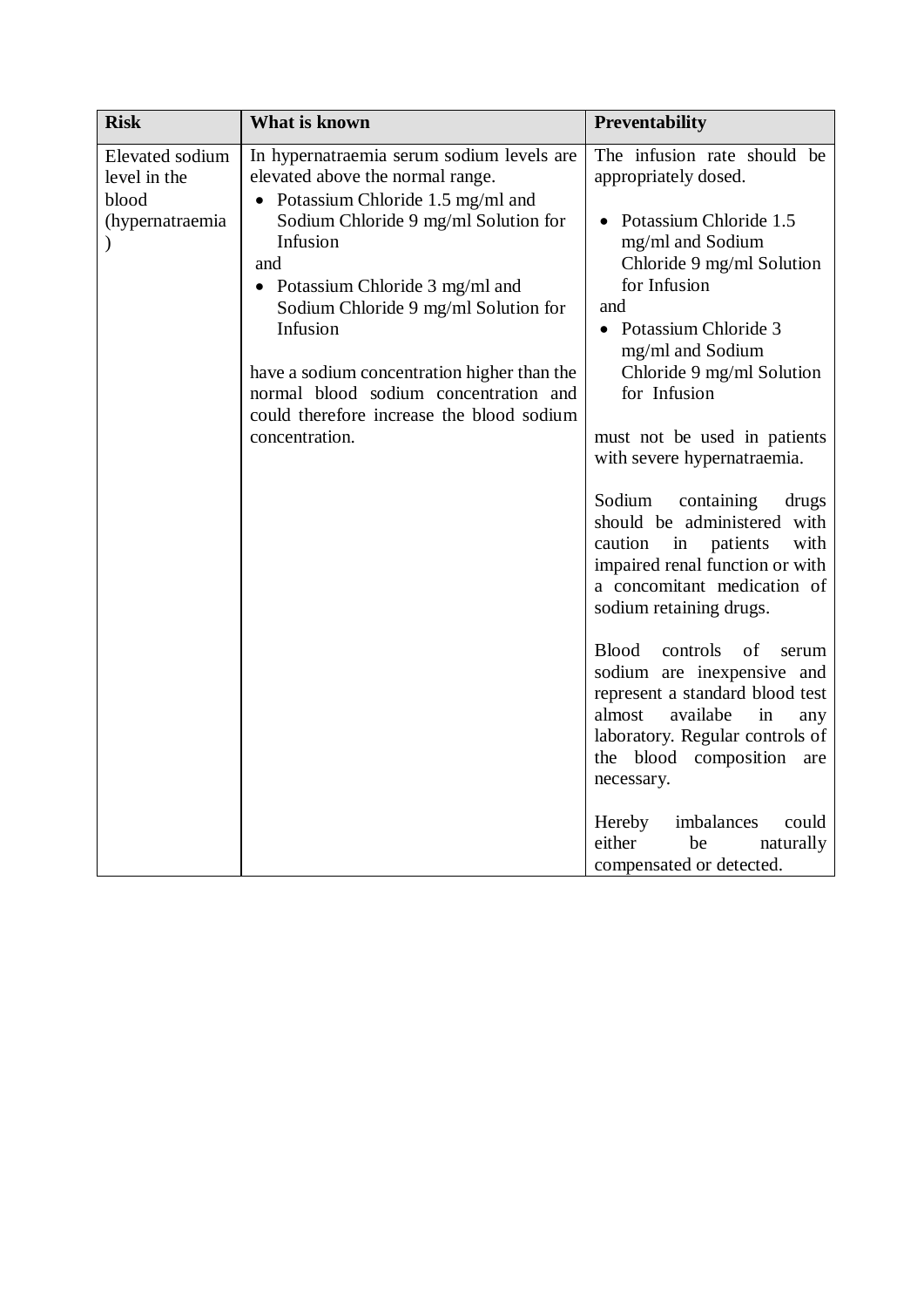| <b>Risk</b>                                                 | What is known                                                                                                                                                                                                                                                                                                                                                                                                             | <b>Preventability</b>                                                                                                                                                                                                                                                                                                                                                                                                                                                                                                                                                                                                                                                                                                                                                                                                     |
|-------------------------------------------------------------|---------------------------------------------------------------------------------------------------------------------------------------------------------------------------------------------------------------------------------------------------------------------------------------------------------------------------------------------------------------------------------------------------------------------------|---------------------------------------------------------------------------------------------------------------------------------------------------------------------------------------------------------------------------------------------------------------------------------------------------------------------------------------------------------------------------------------------------------------------------------------------------------------------------------------------------------------------------------------------------------------------------------------------------------------------------------------------------------------------------------------------------------------------------------------------------------------------------------------------------------------------------|
| Elevated sodium<br>level in the<br>blood<br>(hypernatraemia | In hypernatraemia serum sodium levels are<br>elevated above the normal range.<br>Potassium Chloride 1.5 mg/ml and<br>Sodium Chloride 9 mg/ml Solution for<br>Infusion<br>and<br>Potassium Chloride 3 mg/ml and<br>Sodium Chloride 9 mg/ml Solution for<br>Infusion<br>have a sodium concentration higher than the<br>normal blood sodium concentration and<br>could therefore increase the blood sodium<br>concentration. | The infusion rate should be<br>appropriately dosed.<br>Potassium Chloride 1.5<br>mg/ml and Sodium<br>Chloride 9 mg/ml Solution<br>for Infusion<br>and<br>Potassium Chloride 3<br>mg/ml and Sodium<br>Chloride 9 mg/ml Solution<br>for Infusion<br>must not be used in patients<br>with severe hypernatraemia.<br>Sodium<br>containing<br>drugs<br>should be administered<br>with<br>caution<br>in patients<br>with<br>impaired renal function or with<br>a concomitant medication of<br>sodium retaining drugs.<br>Blood controls of<br>serum<br>sodium are inexpensive and<br>represent a standard blood test<br>almost<br>availabe<br>in<br>any<br>laboratory. Regular controls of<br>the blood composition are<br>necessary.<br>imbalances<br>Hereby<br>could<br>either<br>be<br>naturally<br>compensated or detected. |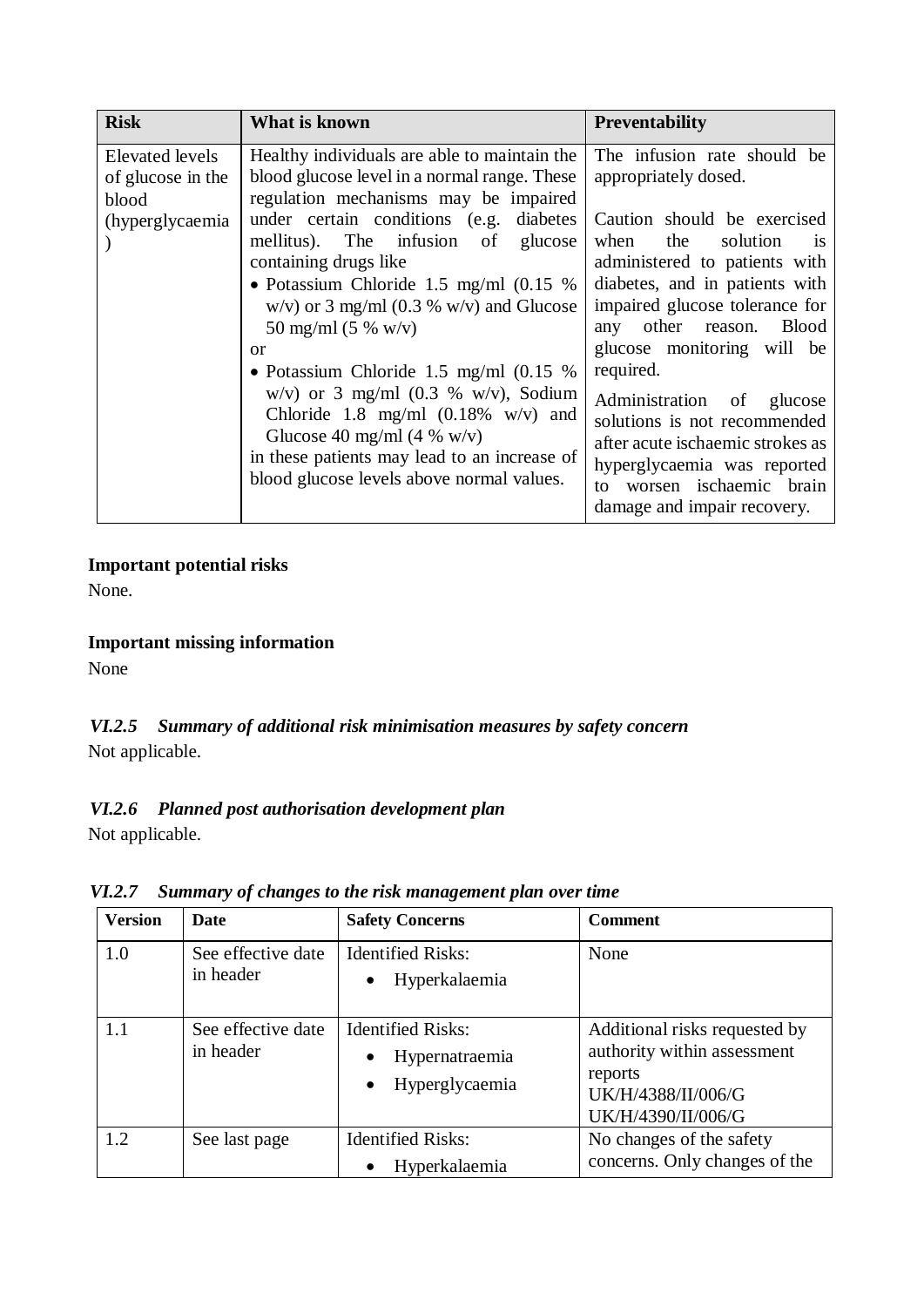| <b>Risk</b>                                                      | What is known                                                                                                                                                                                                                                                                                                                                                                                                                                                                                                                                                                                                                                      | <b>Preventability</b>                                                                                                                                                                                                                                                                                                                                                                                                                                                |
|------------------------------------------------------------------|----------------------------------------------------------------------------------------------------------------------------------------------------------------------------------------------------------------------------------------------------------------------------------------------------------------------------------------------------------------------------------------------------------------------------------------------------------------------------------------------------------------------------------------------------------------------------------------------------------------------------------------------------|----------------------------------------------------------------------------------------------------------------------------------------------------------------------------------------------------------------------------------------------------------------------------------------------------------------------------------------------------------------------------------------------------------------------------------------------------------------------|
| Elevated levels<br>of glucose in the<br>blood<br>(hyperglycaemia | Healthy individuals are able to maintain the<br>blood glucose level in a normal range. These<br>regulation mechanisms may be impaired<br>under certain conditions (e.g. diabetes)<br>mellitus). The infusion of<br>glucose<br>containing drugs like<br>• Potassium Chloride 1.5 mg/ml $(0.15 \%)$<br>$w/v$ or 3 mg/ml (0.3 % w/v) and Glucose<br>50 mg/ml (5 % w/v)<br><b>or</b><br>• Potassium Chloride 1.5 mg/ml $(0.15 \%)$<br>$w/v$ or 3 mg/ml (0.3 % w/v), Sodium<br>Chloride 1.8 mg/ml $(0.18\% \text{ w/v})$ and<br>Glucose 40 mg/ml (4 % w/v)<br>in these patients may lead to an increase of<br>blood glucose levels above normal values. | The infusion rate should be<br>appropriately dosed.<br>Caution should be exercised<br>solution<br>the<br>when<br>1S<br>administered to patients with<br>diabetes, and in patients with<br>impaired glucose tolerance for<br>Blood<br>other reason.<br>any<br>glucose monitoring will be<br>required.<br>Administration of glucose<br>solutions is not recommended<br>after acute ischaemic strokes as<br>hyperglycaemia was reported<br>worsen ischaemic brain<br>to |
|                                                                  |                                                                                                                                                                                                                                                                                                                                                                                                                                                                                                                                                                                                                                                    | damage and impair recovery.                                                                                                                                                                                                                                                                                                                                                                                                                                          |

### **Important potential risks**

None.

### **Important missing information**

None

# *VI.2.5 Summary of additional risk minimisation measures by safety concern* Not applicable.

# *VI.2.6 Planned post authorisation development plan*

Not applicable.

*VI.2.7 Summary of changes to the risk management plan over time*

| <b>Version</b> | <b>Date</b>                     | <b>Safety Concerns</b>                                                    | <b>Comment</b>                                                                                                      |
|----------------|---------------------------------|---------------------------------------------------------------------------|---------------------------------------------------------------------------------------------------------------------|
| 1.0            | See effective date<br>in header | <b>Identified Risks:</b><br>Hyperkalaemia                                 | None                                                                                                                |
| 1.1            | See effective date<br>in header | <b>Identified Risks:</b><br>Hypernatraemia<br>Hyperglycaemia<br>$\bullet$ | Additional risks requested by<br>authority within assessment<br>reports<br>UK/H/4388/II/006/G<br>UK/H/4390/II/006/G |
| 1.2            | See last page                   | <b>Identified Risks:</b><br>Hyperkalaemia                                 | No changes of the safety<br>concerns. Only changes of the                                                           |